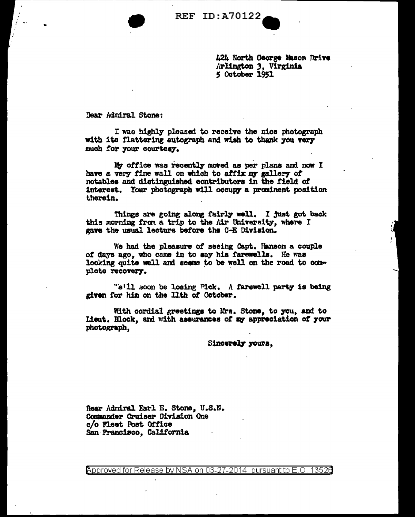**• REF ID:A70122** 

424 North George Mason Drive Arlington *3,* Virginia 5 October 1951

Dear Adndral Stone:

I was highly pleased to receive the nice photograph with its flattering autograph and wish to thank you very much for your courtesy.

My office was recently moved as per plans and now I have a very fine wall on which to affix my gallery of notables and distinguished contributors in the field of interest. Your photograph will occupy a prominent position therein.

Things are going along fairly well. I just got back this morning from a trip to the Air University, where I gave the usual lecture before the C-E Division.

We had the pleasure or seeing Capt. Hanson a couple of days ago, who came in to say his farewells. He was looking quite well and seems to be well on the road to complete recovery.

" $e'$ 11 soon be losing Pick. A farewell party is being given for him on the llth of October.

With cordial greetings to Mrs. Stone, to you, and to Lieut. Block, and with assurances of my appreciation of your photograph.

Sincerely yours.

Rear Admiral Farl E. Stone, U.S.N. Commander Cruiser Division One c/o Fleet Post Office San·Francieco, California

 $\beta$ pproved for Release by NSA on 03-27-2014 pursuant to E.O. 1352 $\beta$